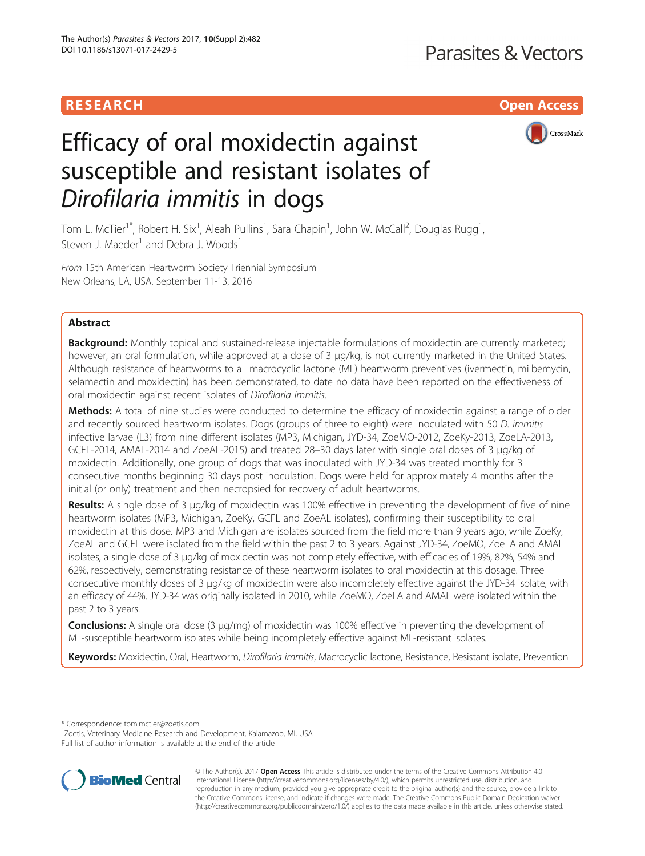## **RESEARCH CHILD CONTROL** CONTROL CONTROL CONTROL CONTROL CONTROL CONTROL CONTROL CONTROL CONTROL CONTROL CONTROL



# Efficacy of oral moxidectin against susceptible and resistant isolates of Dirofilaria immitis in dogs

Tom L. McTier<sup>1\*</sup>, Robert H. Six<sup>1</sup>, Aleah Pullins<sup>1</sup>, Sara Chapin<sup>1</sup>, John W. McCall<sup>2</sup>, Douglas Rugg<sup>1</sup> , Steven J. Maeder<sup>1</sup> and Debra J. Woods<sup>1</sup>

From 15th American Heartworm Society Triennial Symposium New Orleans, LA, USA. September 11-13, 2016

## Abstract

Background: Monthly topical and sustained-release injectable formulations of moxidectin are currently marketed; however, an oral formulation, while approved at a dose of 3 μg/kg, is not currently marketed in the United States. Although resistance of heartworms to all macrocyclic lactone (ML) heartworm preventives (ivermectin, milbemycin, selamectin and moxidectin) has been demonstrated, to date no data have been reported on the effectiveness of oral moxidectin against recent isolates of Dirofilaria immitis.

Methods: A total of nine studies were conducted to determine the efficacy of moxidectin against a range of older and recently sourced heartworm isolates. Dogs (groups of three to eight) were inoculated with 50 D. immitis infective larvae (L3) from nine different isolates (MP3, Michigan, JYD-34, ZoeMO-2012, ZoeKy-2013, ZoeLA-2013, GCFL-2014, AMAL-2014 and ZoeAL-2015) and treated 28–30 days later with single oral doses of 3 μg/kg of moxidectin. Additionally, one group of dogs that was inoculated with JYD-34 was treated monthly for 3 consecutive months beginning 30 days post inoculation. Dogs were held for approximately 4 months after the initial (or only) treatment and then necropsied for recovery of adult heartworms.

Results: A single dose of 3 μg/kg of moxidectin was 100% effective in preventing the development of five of nine heartworm isolates (MP3, Michigan, ZoeKy, GCFL and ZoeAL isolates), confirming their susceptibility to oral moxidectin at this dose. MP3 and Michigan are isolates sourced from the field more than 9 years ago, while ZoeKy, ZoeAL and GCFL were isolated from the field within the past 2 to 3 years. Against JYD-34, ZoeMO, ZoeLA and AMAL isolates, a single dose of 3 μg/kg of moxidectin was not completely effective, with efficacies of 19%, 82%, 54% and 62%, respectively, demonstrating resistance of these heartworm isolates to oral moxidectin at this dosage. Three consecutive monthly doses of 3 μg/kg of moxidectin were also incompletely effective against the JYD-34 isolate, with an efficacy of 44%. JYD-34 was originally isolated in 2010, while ZoeMO, ZoeLA and AMAL were isolated within the past 2 to 3 years.

**Conclusions:** A single oral dose (3 μg/mg) of moxidectin was 100% effective in preventing the development of ML-susceptible heartworm isolates while being incompletely effective against ML-resistant isolates.

Keywords: Moxidectin, Oral, Heartworm, Dirofilaria immitis, Macrocyclic lactone, Resistance, Resistant isolate, Prevention

\* Correspondence: [tom.mctier@zoetis.com](mailto:tom.mctier@zoetis.com) <sup>1</sup>

<sup>1</sup>Zoetis, Veterinary Medicine Research and Development, Kalamazoo, MI, USA

Full list of author information is available at the end of the article



© The Author(s). 2017 **Open Access** This article is distributed under the terms of the Creative Commons Attribution 4.0 International License [\(http://creativecommons.org/licenses/by/4.0/](http://creativecommons.org/licenses/by/4.0/)), which permits unrestricted use, distribution, and reproduction in any medium, provided you give appropriate credit to the original author(s) and the source, provide a link to the Creative Commons license, and indicate if changes were made. The Creative Commons Public Domain Dedication waiver [\(http://creativecommons.org/publicdomain/zero/1.0/](http://creativecommons.org/publicdomain/zero/1.0/)) applies to the data made available in this article, unless otherwise stated.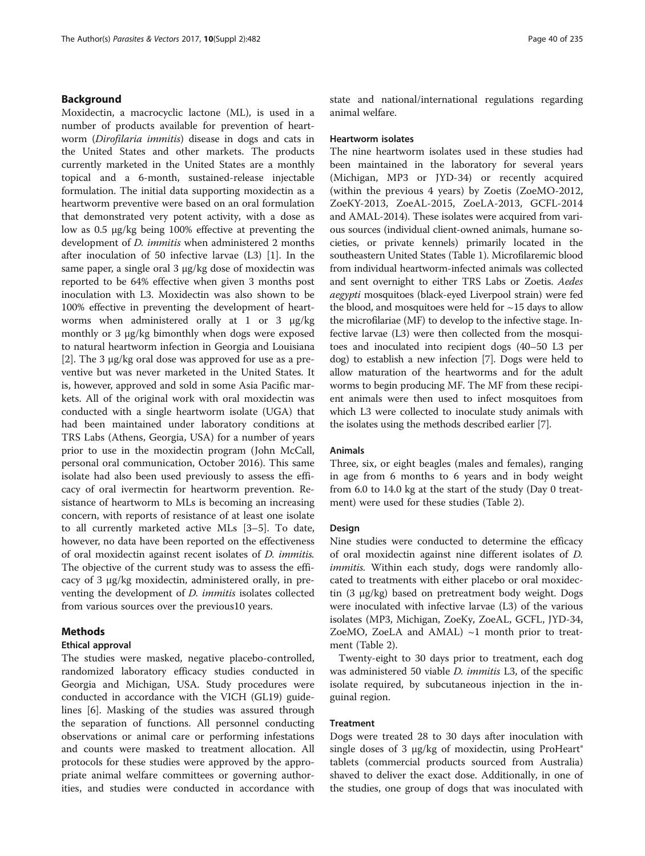### Background

Moxidectin, a macrocyclic lactone (ML), is used in a number of products available for prevention of heartworm (Dirofilaria immitis) disease in dogs and cats in the United States and other markets. The products currently marketed in the United States are a monthly topical and a 6-month, sustained-release injectable formulation. The initial data supporting moxidectin as a heartworm preventive were based on an oral formulation that demonstrated very potent activity, with a dose as low as 0.5 μg/kg being 100% effective at preventing the development of D. immitis when administered 2 months after inoculation of 50 infective larvae (L3) [[1](#page-6-0)]. In the same paper, a single oral 3 μg/kg dose of moxidectin was reported to be 64% effective when given 3 months post inoculation with L3. Moxidectin was also shown to be 100% effective in preventing the development of heartworms when administered orally at 1 or 3 μg/kg monthly or 3 μg/kg bimonthly when dogs were exposed to natural heartworm infection in Georgia and Louisiana [[2\]](#page-6-0). The 3 μg/kg oral dose was approved for use as a preventive but was never marketed in the United States. It is, however, approved and sold in some Asia Pacific markets. All of the original work with oral moxidectin was conducted with a single heartworm isolate (UGA) that had been maintained under laboratory conditions at TRS Labs (Athens, Georgia, USA) for a number of years prior to use in the moxidectin program (John McCall, personal oral communication, October 2016). This same isolate had also been used previously to assess the efficacy of oral ivermectin for heartworm prevention. Resistance of heartworm to MLs is becoming an increasing concern, with reports of resistance of at least one isolate to all currently marketed active MLs [[3](#page-6-0)–[5](#page-6-0)]. To date, however, no data have been reported on the effectiveness of oral moxidectin against recent isolates of D. immitis. The objective of the current study was to assess the efficacy of 3 μg/kg moxidectin, administered orally, in preventing the development of D. immitis isolates collected from various sources over the previous10 years.

## Methods

#### Ethical approval

The studies were masked, negative placebo-controlled, randomized laboratory efficacy studies conducted in Georgia and Michigan, USA. Study procedures were conducted in accordance with the VICH (GL19) guidelines [[6](#page-6-0)]. Masking of the studies was assured through the separation of functions. All personnel conducting observations or animal care or performing infestations and counts were masked to treatment allocation. All protocols for these studies were approved by the appropriate animal welfare committees or governing authorities, and studies were conducted in accordance with state and national/international regulations regarding animal welfare.

#### Heartworm isolates

The nine heartworm isolates used in these studies had been maintained in the laboratory for several years (Michigan, MP3 or JYD-34) or recently acquired (within the previous 4 years) by Zoetis (ZoeMO-2012, ZoeKY-2013, ZoeAL-2015, ZoeLA-2013, GCFL-2014 and AMAL-2014). These isolates were acquired from various sources (individual client-owned animals, humane societies, or private kennels) primarily located in the southeastern United States (Table [1](#page-2-0)). Microfilaremic blood from individual heartworm-infected animals was collected and sent overnight to either TRS Labs or Zoetis. Aedes aegypti mosquitoes (black-eyed Liverpool strain) were fed the blood, and mosquitoes were held for  $\sim$ 15 days to allow the microfilariae (MF) to develop to the infective stage. Infective larvae (L3) were then collected from the mosquitoes and inoculated into recipient dogs (40–50 L3 per dog) to establish a new infection [\[7\]](#page-6-0). Dogs were held to allow maturation of the heartworms and for the adult worms to begin producing MF. The MF from these recipient animals were then used to infect mosquitoes from which L3 were collected to inoculate study animals with the isolates using the methods described earlier [\[7](#page-6-0)].

#### Animals

Three, six, or eight beagles (males and females), ranging in age from 6 months to 6 years and in body weight from 6.0 to 14.0 kg at the start of the study (Day 0 treatment) were used for these studies (Table [2\)](#page-2-0).

#### Design

Nine studies were conducted to determine the efficacy of oral moxidectin against nine different isolates of D. immitis. Within each study, dogs were randomly allocated to treatments with either placebo or oral moxidectin (3 μg/kg) based on pretreatment body weight. Dogs were inoculated with infective larvae (L3) of the various isolates (MP3, Michigan, ZoeKy, ZoeAL, GCFL, JYD-34, ZoeMO, ZoeLA and  $AMAL$ ) ~1 month prior to treatment (Table [2](#page-2-0)).

Twenty-eight to 30 days prior to treatment, each dog was administered 50 viable D. immitis L3, of the specific isolate required, by subcutaneous injection in the inguinal region.

#### Treatment

Dogs were treated 28 to 30 days after inoculation with single doses of 3 μg/kg of moxidectin, using ProHeart<sup>®</sup> tablets (commercial products sourced from Australia) shaved to deliver the exact dose. Additionally, in one of the studies, one group of dogs that was inoculated with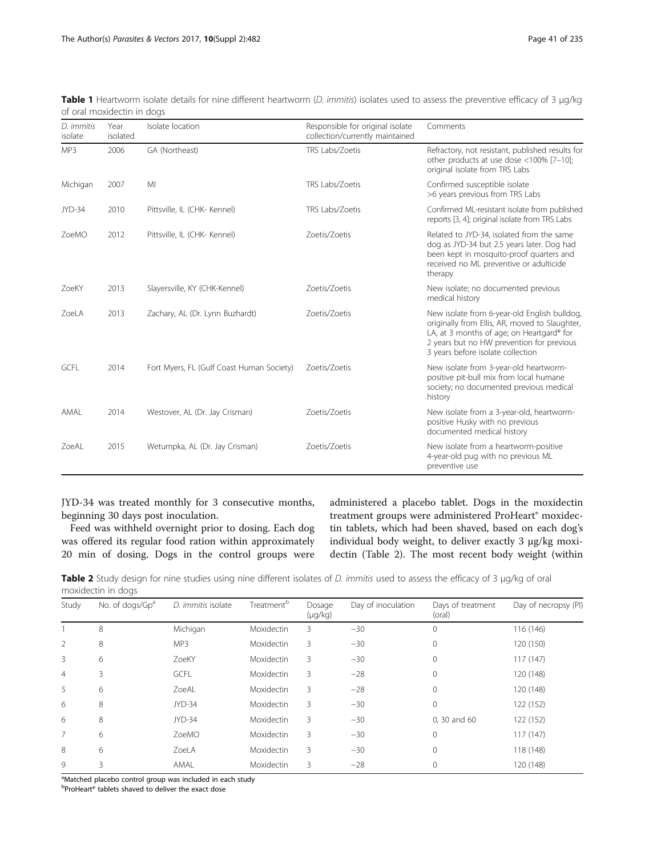| D. immitis<br>isolate | Year<br>isolated | Isolate location                          | Responsible for original isolate<br>collection/currently maintained | Comments                                                                                                                                                                                                                      |
|-----------------------|------------------|-------------------------------------------|---------------------------------------------------------------------|-------------------------------------------------------------------------------------------------------------------------------------------------------------------------------------------------------------------------------|
| MP <sub>3</sub>       | 2006             | GA (Northeast)                            | TRS Labs/Zoetis                                                     | Refractory, not resistant, published results for<br>other products at use dose <100% [7-10];<br>original isolate from TRS Labs                                                                                                |
| Michigan              | 2007             | MI                                        | TRS Labs/Zoetis                                                     | Confirmed susceptible isolate<br>>6 years previous from TRS Labs                                                                                                                                                              |
| JYD-34                | 2010             | Pittsville, IL (CHK- Kennel)              | TRS Labs/Zoetis                                                     | Confirmed ML-resistant isolate from published<br>reports [3, 4]; original isolate from TRS Labs                                                                                                                               |
| ZoeMO                 | 2012             | Pittsville, IL (CHK- Kennel)              | Zoetis/Zoetis                                                       | Related to JYD-34, isolated from the same<br>dog as JYD-34 but 2.5 years later. Dog had<br>been kept in mosquito-proof quarters and<br>received no ML preventive or adulticide<br>therapy                                     |
| ZoeKY                 | 2013             | Slayersville, KY (CHK-Kennel)             | Zoetis/Zoetis                                                       | New isolate; no documented previous<br>medical history                                                                                                                                                                        |
| ZoeLA                 | 2013             | Zachary, AL (Dr. Lynn Buzhardt)           | Zoetis/Zoetis                                                       | New isolate from 6-year-old English bulldog,<br>originally from Ellis, AR, moved to Slaughter,<br>LA, at 3 months of age; on Heartgard® for<br>2 years but no HW prevention for previous<br>3 years before isolate collection |
| GCFL                  | 2014             | Fort Myers, FL (Gulf Coast Human Society) | Zoetis/Zoetis                                                       | New isolate from 3-year-old heartworm-<br>positive pit-bull mix from local humane<br>society; no documented previous medical<br>history                                                                                       |
| AMAL                  | 2014             | Westover, AL (Dr. Jay Crisman)            | Zoetis/Zoetis                                                       | New isolate from a 3-year-old, heartworm-<br>positive Husky with no previous<br>documented medical history                                                                                                                    |
| ZoeAL                 | 2015             | Wetumpka, AL (Dr. Jay Crisman)            | Zoetis/Zoetis                                                       | New isolate from a heartworm-positive<br>4-year-old pug with no previous ML<br>preventive use                                                                                                                                 |

<span id="page-2-0"></span>

| Table 1 Heartworm isolate details for nine different heartworm (D. immitis) isolates used to assess the preventive efficacy of 3 µg/kg |  |  |  |  |  |  |
|----------------------------------------------------------------------------------------------------------------------------------------|--|--|--|--|--|--|
| of oral moxidectin in dogs                                                                                                             |  |  |  |  |  |  |

JYD-34 was treated monthly for 3 consecutive months, beginning 30 days post inoculation.

Feed was withheld overnight prior to dosing. Each dog was offered its regular food ration within approximately 20 min of dosing. Dogs in the control groups were

administered a placebo tablet. Dogs in the moxidectin treatment groups were administered ProHeart® moxidectin tablets, which had been shaved, based on each dog's individual body weight, to deliver exactly 3 μg/kg moxidectin (Table 2). The most recent body weight (within

Table 2 Study design for nine studies using nine different isolates of D. immitis used to assess the efficacy of 3 µg/kg of oral moxidectin in dogs

| Study          | No. of dogs/Gp <sup>a</sup> | D. immitis isolate | Treatment <sup>b</sup> | Dosage<br>$(\mu q/kg)$ | Day of inoculation | Days of treatment<br>(oral) | Day of necropsy (PI) |
|----------------|-----------------------------|--------------------|------------------------|------------------------|--------------------|-----------------------------|----------------------|
|                | 8                           | Michigan           | Moxidectin             | 3                      | $-30$              | $\mathbf 0$                 | 116 (146)            |
| 2              | 8                           | MP3                | Moxidectin             | 3                      | $-30$              | $\mathbf 0$                 | 120 (150)            |
| 3              | 6                           | ZoeKY              | Moxidectin             | 3                      | $-30$              | $\mathbf 0$                 | 117(147)             |
| $\overline{4}$ | 3                           | <b>GCFL</b>        | Moxidectin             | 3                      | $-28$              | $\mathbf 0$                 | 120 (148)            |
| 5              | 6                           | ZoeAL              | Moxidectin             | 3                      | $-28$              | $\mathbf 0$                 | 120 (148)            |
| 6              | 8                           | JYD-34             | Moxidectin             | 3                      | $-30$              | $\mathbf{0}$                | 122 (152)            |
| 6              | 8                           | JYD-34             | Moxidectin             | 3                      | $-30$              | 0, 30 and 60                | 122 (152)            |
| 7              | 6                           | ZoeMO              | Moxidectin             | 3                      | $-30$              | $\mathbf 0$                 | 117(147)             |
| 8              | 6                           | ZoeLA              | Moxidectin             | 3                      | $-30$              | $\mathbf 0$                 | 118 (148)            |
| 9              | 3                           | AMAL               | Moxidectin             | 3                      | $-28$              | $\mathbf 0$                 | 120 (148)            |

<sup>a</sup>Matched placebo control group was included in each study

**bProHeart®** tablets shaved to deliver the exact dose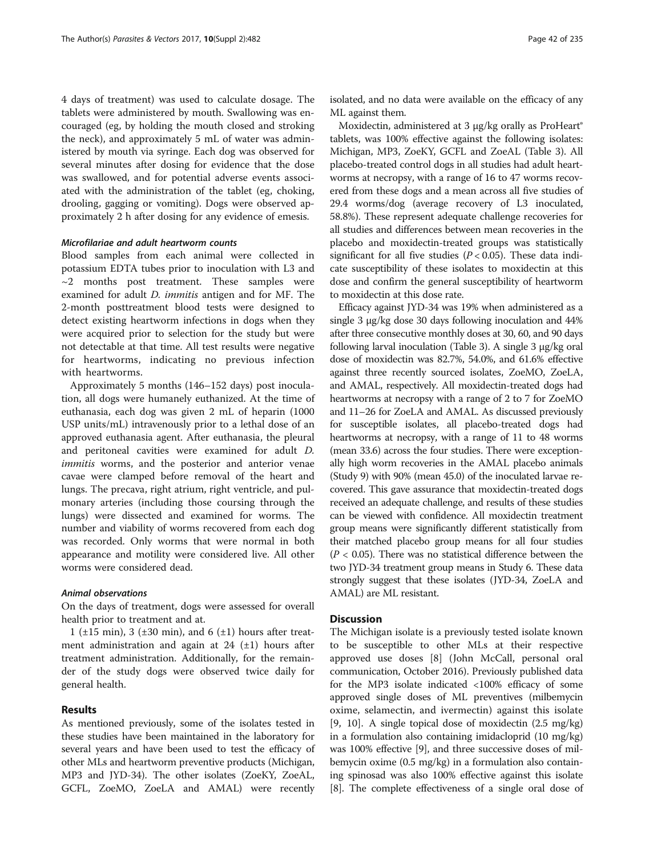4 days of treatment) was used to calculate dosage. The tablets were administered by mouth. Swallowing was encouraged (eg, by holding the mouth closed and stroking the neck), and approximately 5 mL of water was administered by mouth via syringe. Each dog was observed for several minutes after dosing for evidence that the dose was swallowed, and for potential adverse events associated with the administration of the tablet (eg, choking, drooling, gagging or vomiting). Dogs were observed approximately 2 h after dosing for any evidence of emesis.

#### Microfilariae and adult heartworm counts

Blood samples from each animal were collected in potassium EDTA tubes prior to inoculation with L3 and  $\sim$ 2 months post treatment. These samples were examined for adult D. immitis antigen and for MF. The 2-month posttreatment blood tests were designed to detect existing heartworm infections in dogs when they were acquired prior to selection for the study but were not detectable at that time. All test results were negative for heartworms, indicating no previous infection with heartworms.

Approximately 5 months (146–152 days) post inoculation, all dogs were humanely euthanized. At the time of euthanasia, each dog was given 2 mL of heparin (1000 USP units/mL) intravenously prior to a lethal dose of an approved euthanasia agent. After euthanasia, the pleural and peritoneal cavities were examined for adult D. immitis worms, and the posterior and anterior venae cavae were clamped before removal of the heart and lungs. The precava, right atrium, right ventricle, and pulmonary arteries (including those coursing through the lungs) were dissected and examined for worms. The number and viability of worms recovered from each dog was recorded. Only worms that were normal in both appearance and motility were considered live. All other worms were considered dead.

#### Animal observations

On the days of treatment, dogs were assessed for overall health prior to treatment and at.

1 ( $\pm$ 15 min), 3 ( $\pm$ 30 min), and 6 ( $\pm$ 1) hours after treatment administration and again at  $24$  ( $\pm 1$ ) hours after treatment administration. Additionally, for the remainder of the study dogs were observed twice daily for general health.

#### Results

As mentioned previously, some of the isolates tested in these studies have been maintained in the laboratory for several years and have been used to test the efficacy of other MLs and heartworm preventive products (Michigan, MP3 and JYD-34). The other isolates (ZoeKY, ZoeAL, GCFL, ZoeMO, ZoeLA and AMAL) were recently

isolated, and no data were available on the efficacy of any ML against them.

Moxidectin, administered at 3 μg/kg orally as ProHeart<sup>®</sup> tablets, was 100% effective against the following isolates: Michigan, MP3, ZoeKY, GCFL and ZoeAL (Table [3\)](#page-4-0). All placebo-treated control dogs in all studies had adult heartworms at necropsy, with a range of 16 to 47 worms recovered from these dogs and a mean across all five studies of 29.4 worms/dog (average recovery of L3 inoculated, 58.8%). These represent adequate challenge recoveries for all studies and differences between mean recoveries in the placebo and moxidectin-treated groups was statistically significant for all five studies ( $P < 0.05$ ). These data indicate susceptibility of these isolates to moxidectin at this dose and confirm the general susceptibility of heartworm to moxidectin at this dose rate.

Efficacy against JYD-34 was 19% when administered as a single 3 μg/kg dose 30 days following inoculation and 44% after three consecutive monthly doses at 30, 60, and 90 days following larval inoculation (Table [3](#page-4-0)). A single 3 μg/kg oral dose of moxidectin was 82.7%, 54.0%, and 61.6% effective against three recently sourced isolates, ZoeMO, ZoeLA, and AMAL, respectively. All moxidectin-treated dogs had heartworms at necropsy with a range of 2 to 7 for ZoeMO and 11–26 for ZoeLA and AMAL. As discussed previously for susceptible isolates, all placebo-treated dogs had heartworms at necropsy, with a range of 11 to 48 worms (mean 33.6) across the four studies. There were exceptionally high worm recoveries in the AMAL placebo animals (Study 9) with 90% (mean 45.0) of the inoculated larvae recovered. This gave assurance that moxidectin-treated dogs received an adequate challenge, and results of these studies can be viewed with confidence. All moxidectin treatment group means were significantly different statistically from their matched placebo group means for all four studies  $(P < 0.05)$ . There was no statistical difference between the two JYD-34 treatment group means in Study 6. These data strongly suggest that these isolates (JYD-34, ZoeLA and AMAL) are ML resistant.

#### **Discussion**

The Michigan isolate is a previously tested isolate known to be susceptible to other MLs at their respective approved use doses [\[8](#page-6-0)] (John McCall, personal oral communication, October 2016). Previously published data for the MP3 isolate indicated <100% efficacy of some approved single doses of ML preventives (milbemycin oxime, selamectin, and ivermectin) against this isolate [[9, 10](#page-6-0)]. A single topical dose of moxidectin (2.5 mg/kg) in a formulation also containing imidacloprid (10 mg/kg) was 100% effective [[9\]](#page-6-0), and three successive doses of milbemycin oxime (0.5 mg/kg) in a formulation also containing spinosad was also 100% effective against this isolate [[8\]](#page-6-0). The complete effectiveness of a single oral dose of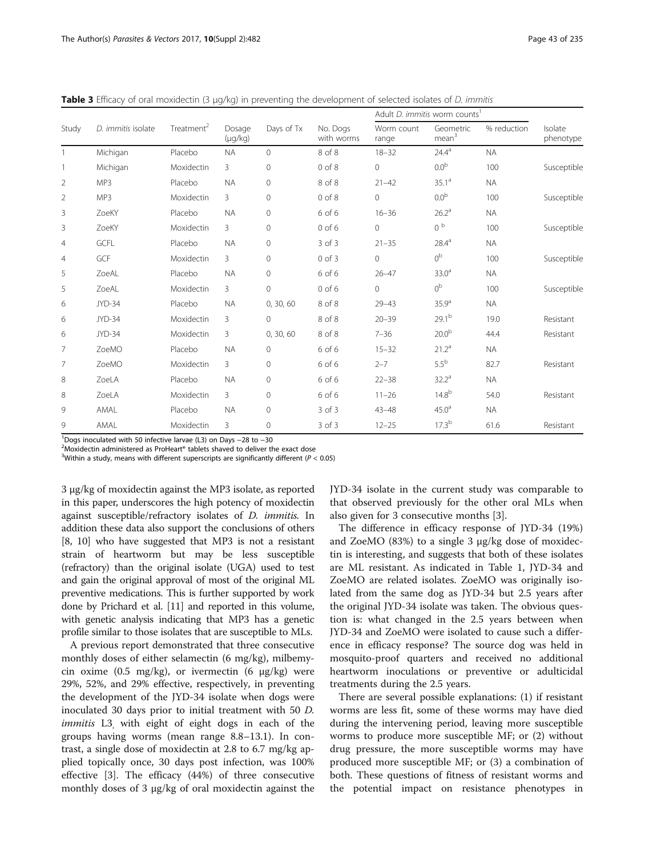|                |                    | Treatment <sup>2</sup> | Dosage<br>$(\mu g/kg)$ | Days of Tx | No. Dogs<br>with worms | Adult D. immitis worm counts <sup>1</sup> |                                |             |                      |
|----------------|--------------------|------------------------|------------------------|------------|------------------------|-------------------------------------------|--------------------------------|-------------|----------------------|
| Study          | D. immitis isolate |                        |                        |            |                        | Worm count<br>range                       | Geometric<br>mean <sup>3</sup> | % reduction | Isolate<br>phenotype |
|                | Michigan           | Placebo                | <b>NA</b>              | $\Omega$   | 8 of 8                 | $18 - 32$                                 | $24.4^{a}$                     | <b>NA</b>   |                      |
|                | Michigan           | Moxidectin             | 3                      | $\circ$    | $0$ of $8$             | $\overline{0}$                            | 0.0 <sup>b</sup>               | 100         | Susceptible          |
| 2              | MP3                | Placebo                | <b>NA</b>              | $\circ$    | 8 of 8                 | $21 - 42$                                 | 35.1 <sup>a</sup>              | <b>NA</b>   |                      |
| $\overline{2}$ | MP3                | Moxidectin             | 3                      | $\circ$    | $0$ of $8$             | $\overline{0}$                            | 0.0 <sup>b</sup>               | 100         | Susceptible          |
| 3              | ZoeKY              | Placebo                | <b>NA</b>              | $\circ$    | 6 of 6                 | $16 - 36$                                 | 26.2 <sup>a</sup>              | <b>NA</b>   |                      |
| 3              | ZoeKY              | Moxidectin             | 3                      | $\circ$    | $0$ of $6$             | $\circ$                                   | 0 <sup>b</sup>                 | 100         | Susceptible          |
| $\overline{4}$ | GCFL               | Placebo                | <b>NA</b>              | $\circ$    | $3$ of $3$             | $21 - 35$                                 | $28.4^{a}$                     | <b>NA</b>   |                      |
| $\overline{4}$ | GCF                | Moxidectin             | 3                      | $\circ$    | $0$ of $3$             | $\overline{0}$                            | 0 <sup>b</sup>                 | 100         | Susceptible          |
| 5              | ZoeAL              | Placebo                | <b>NA</b>              | $\circ$    | 6 of 6                 | $26 - 47$                                 | 33.0 <sup>a</sup>              | <b>NA</b>   |                      |
| 5              | ZoeAL              | Moxidectin             | 3                      | $\circ$    | $0$ of 6               | $\overline{0}$                            | $0^{\rm b}$                    | 100         | Susceptible          |
| 6              | JYD-34             | Placebo                | <b>NA</b>              | 0, 30, 60  | 8 of 8                 | $29 - 43$                                 | 35.9 <sup>a</sup>              | <b>NA</b>   |                      |
| 6              | JYD-34             | Moxidectin             | 3                      | $\Omega$   | 8 of 8                 | $20 - 39$                                 | 29.1 <sup>b</sup>              | 19.0        | Resistant            |
| 6              | JYD-34             | Moxidectin             | 3                      | 0, 30, 60  | 8 of 8                 | $7 - 36$                                  | 20.0 <sup>b</sup>              | 44.4        | Resistant            |
| 7              | ZoeMO              | Placebo                | <b>NA</b>              | $\circ$    | 6 of 6                 | $15 - 32$                                 | 21.2 <sup>a</sup>              | <b>NA</b>   |                      |
| 7              | ZoeMO              | Moxidectin             | 3                      | 0          | 6 of 6                 | $2 - 7$                                   | 5.5 <sup>b</sup>               | 82.7        | Resistant            |
| 8              | ZoeLA              | Placebo                | <b>NA</b>              | $\circ$    | 6 of 6                 | $22 - 38$                                 | 32.2 <sup>a</sup>              | <b>NA</b>   |                      |
| 8              | ZoeLA              | Moxidectin             | 3                      | $\circ$    | 6 of 6                 | $11 - 26$                                 | $14.8^{b}$                     | 54.0        | Resistant            |
| 9              | AMAL               | Placebo                | <b>NA</b>              | $\circ$    | $3$ of $3$             | $43 - 48$                                 | 45.0 <sup>a</sup>              | <b>NA</b>   |                      |
| 9              | AMAL               | Moxidectin             | 3                      | $\Omega$   | $3$ of $3$             | $12 - 25$                                 | $17.3^{b}$                     | 61.6        | Resistant            |

<span id="page-4-0"></span>Table 3 Efficacy of oral moxidectin (3 μg/kg) in preventing the development of selected isolates of D. immitis

<sup>1</sup>Dogs inoculated with 50 infective larvae (L3) on Days −28 to −30<sup>2</sup>Movidectin administered as ProHeart® tablets chaved to deliver the

 $2$ Moxidectin administered as ProHeart® tablets shaved to deliver the exact dose

<sup>3</sup>Within a study, means with different superscripts are significantly different ( $P < 0.05$ )

3 μg/kg of moxidectin against the MP3 isolate, as reported in this paper, underscores the high potency of moxidectin against susceptible/refractory isolates of D. immitis. In addition these data also support the conclusions of others [[8, 10\]](#page-6-0) who have suggested that MP3 is not a resistant strain of heartworm but may be less susceptible (refractory) than the original isolate (UGA) used to test and gain the original approval of most of the original ML preventive medications. This is further supported by work done by Prichard et al. [\[11\]](#page-6-0) and reported in this volume, with genetic analysis indicating that MP3 has a genetic profile similar to those isolates that are susceptible to MLs.

A previous report demonstrated that three consecutive monthly doses of either selamectin (6 mg/kg), milbemycin oxime (0.5 mg/kg), or ivermectin (6 μg/kg) were 29%, 52%, and 29% effective, respectively, in preventing the development of the JYD-34 isolate when dogs were inoculated 30 days prior to initial treatment with 50 D. *immitis* L3 with eight of eight dogs in each of the groups having worms (mean range 8.8–13.1). In contrast, a single dose of moxidectin at 2.8 to 6.7 mg/kg applied topically once, 30 days post infection, was 100% effective [\[3](#page-6-0)]. The efficacy (44%) of three consecutive monthly doses of 3 μg/kg of oral moxidectin against the JYD-34 isolate in the current study was comparable to that observed previously for the other oral MLs when also given for 3 consecutive months [\[3\]](#page-6-0).

The difference in efficacy response of JYD-34 (19%) and ZoeMO (83%) to a single 3 μg/kg dose of moxidectin is interesting, and suggests that both of these isolates are ML resistant. As indicated in Table [1,](#page-2-0) JYD-34 and ZoeMO are related isolates. ZoeMO was originally isolated from the same dog as JYD-34 but 2.5 years after the original JYD-34 isolate was taken. The obvious question is: what changed in the 2.5 years between when JYD-34 and ZoeMO were isolated to cause such a difference in efficacy response? The source dog was held in mosquito-proof quarters and received no additional heartworm inoculations or preventive or adulticidal treatments during the 2.5 years.

There are several possible explanations: (1) if resistant worms are less fit, some of these worms may have died during the intervening period, leaving more susceptible worms to produce more susceptible MF; or (2) without drug pressure, the more susceptible worms may have produced more susceptible MF; or (3) a combination of both. These questions of fitness of resistant worms and the potential impact on resistance phenotypes in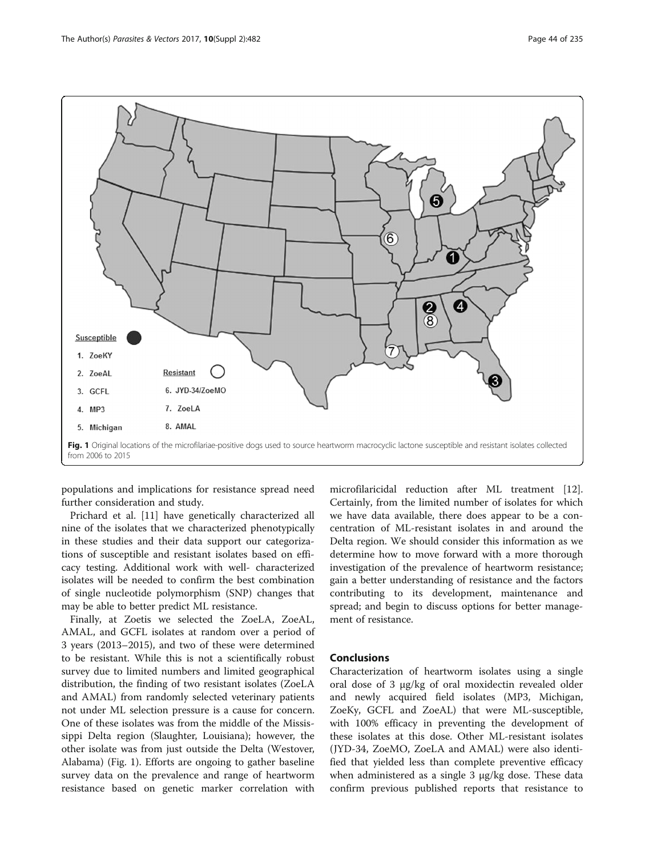

populations and implications for resistance spread need further consideration and study.

Prichard et al. [\[11](#page-6-0)] have genetically characterized all nine of the isolates that we characterized phenotypically in these studies and their data support our categorizations of susceptible and resistant isolates based on efficacy testing. Additional work with well- characterized isolates will be needed to confirm the best combination of single nucleotide polymorphism (SNP) changes that may be able to better predict ML resistance.

Finally, at Zoetis we selected the ZoeLA, ZoeAL, AMAL, and GCFL isolates at random over a period of 3 years (2013–2015), and two of these were determined to be resistant. While this is not a scientifically robust survey due to limited numbers and limited geographical distribution, the finding of two resistant isolates (ZoeLA and AMAL) from randomly selected veterinary patients not under ML selection pressure is a cause for concern. One of these isolates was from the middle of the Mississippi Delta region (Slaughter, Louisiana); however, the other isolate was from just outside the Delta (Westover, Alabama) (Fig. 1). Efforts are ongoing to gather baseline survey data on the prevalence and range of heartworm resistance based on genetic marker correlation with

microfilaricidal reduction after ML treatment [\[12](#page-6-0)]. Certainly, from the limited number of isolates for which we have data available, there does appear to be a concentration of ML-resistant isolates in and around the Delta region. We should consider this information as we determine how to move forward with a more thorough investigation of the prevalence of heartworm resistance; gain a better understanding of resistance and the factors contributing to its development, maintenance and spread; and begin to discuss options for better management of resistance.

## Conclusions

Characterization of heartworm isolates using a single oral dose of 3 μg/kg of oral moxidectin revealed older and newly acquired field isolates (MP3, Michigan, ZoeKy, GCFL and ZoeAL) that were ML-susceptible, with 100% efficacy in preventing the development of these isolates at this dose. Other ML-resistant isolates (JYD-34, ZoeMO, ZoeLA and AMAL) were also identified that yielded less than complete preventive efficacy when administered as a single 3 μg/kg dose. These data confirm previous published reports that resistance to